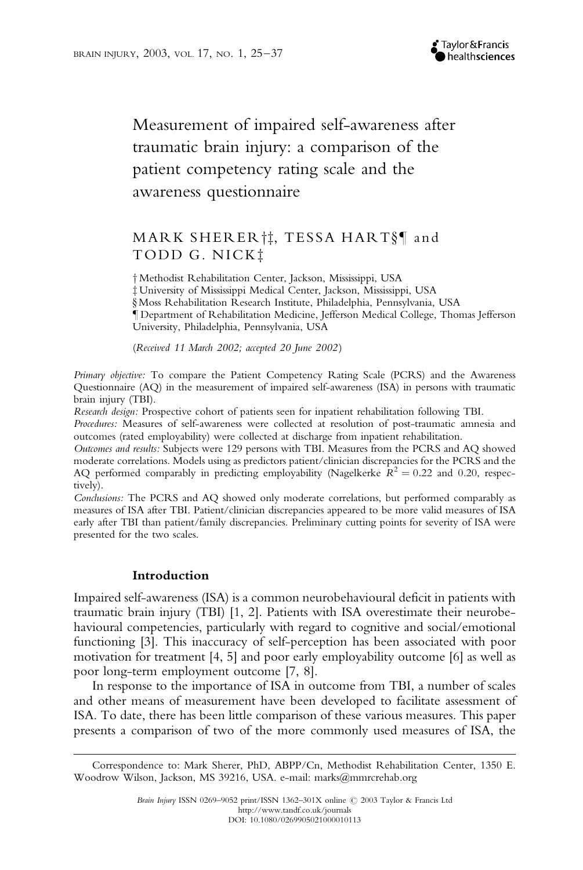# Measurement of impaired self-awareness after traumatic brain injury: a comparison of the patient competency rating scale and the awareness questionnaire

# MARK SHERER<sup>†</sup>I, TESSA HART§¶ and TODD G. NICK<sup>+</sup>

<sup>†</sup> Methodist Rehabilitation Center, Jackson, Mississippi, USA

 $\ddagger$  University of Mississippi Medical Center, Jackson, Mississippi, USA

§ Moss Rehabilitation Research Institute, Philadelphia, Pennsylvania, USA

<sup>1</sup> Department of Rehabilitation Medicine, Jefferson Medical College, Thomas Jefferson University, Philadelphia, Pennsylvania, USA

(Received 11 March 2002; accepted 20 June 2002)

Primary objective: To compare the Patient Competency Rating Scale (PCRS) and the Awareness Questionnaire (AQ) in the measurement of impaired self-awareness (ISA) in persons with traumatic brain injury (TBI).

Research design: Prospective cohort of patients seen for inpatient rehabilitation following TBI.

Procedures: Measures of self-awareness were collected at resolution of post-traumatic amnesia and outcomes (rated employability) were collected at discharge from inpatient rehabilitation.

Outcomes and results: Subjects were 129 persons with TBI. Measures from the PCRS and AQ showed moderate correlations. Models using as predictors patient/clinician discrepancies for the PCRS and the AQ performed comparably in predicting employability (Nagelkerke  $R^2 = 0.22$  and 0.20, respectively).

Conclusions: The PCRS and AQ showed only moderate correlations, but performed comparably as measures of ISA after TBI. Patient/clinician discrepancies appeared to be more valid measures of ISA early after TBI than patient/family discrepancies. Preliminary cutting points for severity of ISA were presented for the two scales.

# Introduction

Impaired self-awareness (ISA) is a common neurobehavioural deficit in patients with traumatic brain injury (TBI) [1,2]. Patients with ISA overestimate their neurobehavioural competencies, particularly with regard to cognitive and social/emotional functioning [3]. This inaccuracy of self-perception has been associated with poor motivation for treatment [4,5] and poor early employability outcome [6] as well as poor long-term employment outcome [7,8].

In response to the importance of ISA in outcome from TBI, a number of scales and other means of measurement have been developed to facilitate assessment of ISA. To date, there has been little comparison of these various measures. This paper presents a comparison of two of the more commonly used measures of ISA, the

Correspondence to: Mark Sherer, PhD, ABPP/Cn, Methodist Rehabilitation Center, 1350 E. Woodrow Wilson, Jackson, MS 39216, USA. e-mail: marks@mmrcrehab.org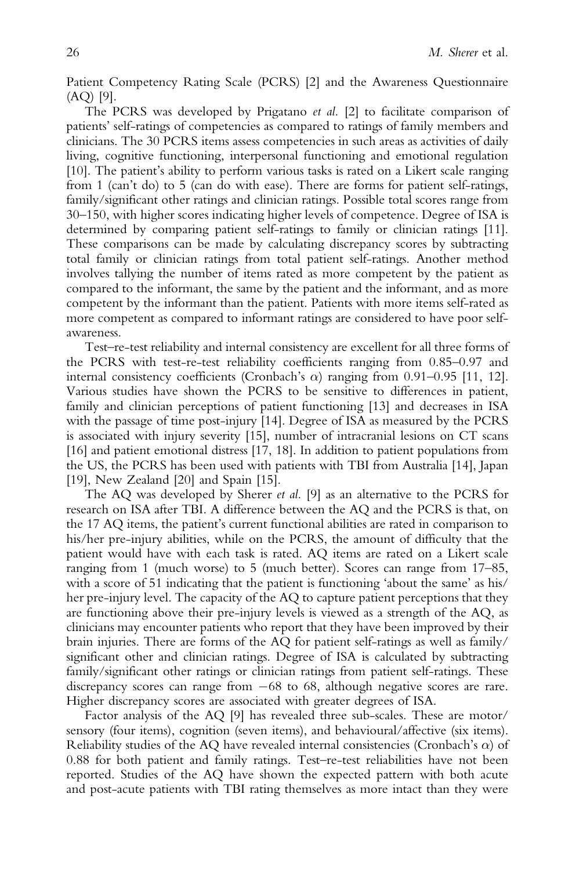Patient Competency Rating Scale (PCRS) [2] and the Awareness Questionnaire (AQ) [9].

The PCRS was developed by Prigatano et al. [2] to facilitate comparison of patients' self-ratings of competencies as compared to ratings of family members and clinicians. The 30 PCRS items assess competencies in such areas as activities of daily living, cognitive functioning, interpersonal functioning and emotional regulation [10]. The patient's ability to perform various tasks is rated on a Likert scale ranging from 1 (can't do) to 5 (can do with ease). There are forms for patient self-ratings, family/significant other ratings and clinician ratings. Possible total scores range from 30–150, with higher scores indicating higher levels of competence. Degree of ISA is determined by comparing patient self-ratings to family or clinician ratings [11]. These comparisons can be made by calculating discrepancy scores by subtracting total family or clinician ratings from total patient self-ratings. Another method involves tallying the number of items rated as more competent by the patient as compared to the informant, the same by the patient and the informant, and as more competent by the informant than the patient. Patients with more items self-rated as more competent as compared to informant ratings are considered to have poor selfawareness.

Test–re-test reliability and internal consistency are excellent for all three forms of the PCRS with test-re-test reliability coefficients ranging from 0.85–0.97 and internal consistency coefficients (Cronbach's  $\alpha$ ) ranging from 0.91–0.95 [11, 12]. Various studies have shown the PCRS to be sensitive to differences in patient, family and clinician perceptions of patient functioning [13] and decreases in ISA with the passage of time post-injury [14]. Degree of ISA as measured by the PCRS is associated with injury severity  $[15]$ , number of intracranial lesions on CT scans [16] and patient emotional distress [17,18]. In addition to patient populations from the US, the PCRS has been used with patients with TBI from Australia [14], Japan [19], New Zealand [20] and Spain [15].

The AQ was developed by Sherer *et al.* [9] as an alternative to the PCRS for research on ISA after TBI. A difference between the AQ and the PCRS is that, on the 17 AQ items, the patient's current functional abilities are rated in comparison to his/her pre-injury abilities, while on the PCRS, the amount of difficulty that the patient would have with each task is rated. AQ items are rated on a Likert scale ranging from 1 (much worse) to 5 (much better). Scores can range from 17–85, with a score of 51 indicating that the patient is functioning 'about the same' as his/ her pre-injury level. The capacity of the AQ to capture patient perceptions that they are functioning above their pre-injury levels is viewed as a strength of the AQ, as clinicians may encounter patients who report that they have been improved by their brain injuries. There are forms of the AQ for patient self-ratings as well as family/ significant other and clinician ratings. Degree of ISA is calculated by subtracting family/significant other ratings or clinician ratings from patient self-ratings. These discrepancy scores can range from  $-68$  to 68, although negative scores are rare. Higher discrepancy scores are associated with greater degrees of ISA.

Factor analysis of the AQ [9] has revealed three sub-scales. These are motor/ sensory (four items), cognition (seven items), and behavioural/affective (six items). Reliability studies of the AQ have revealed internal consistencies (Cronbach's  $\alpha$ ) of 0.88 for both patient and family ratings. Test–re-test reliabilities have not been reported. Studies of the AQ have shown the expected pattern with both acute and post-acute patients with TBI rating themselves as more intact than they were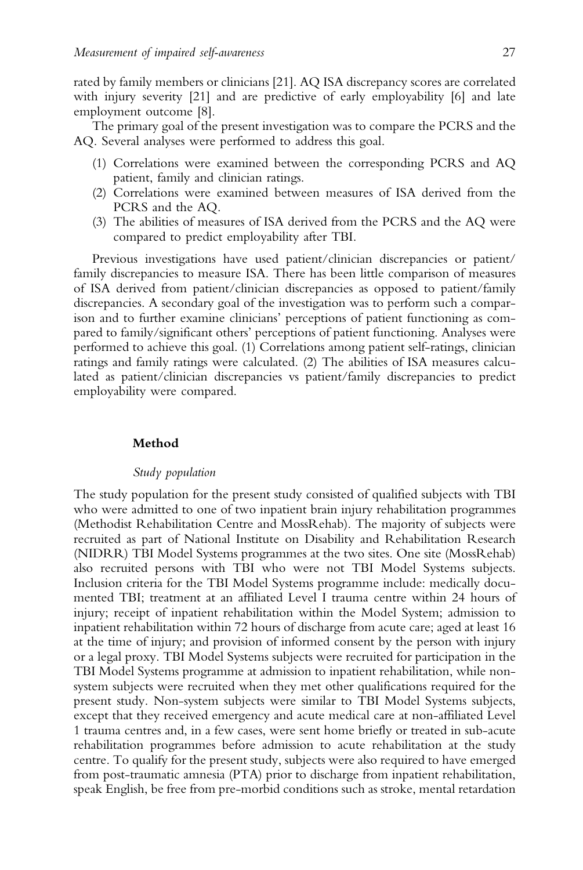rated by family members or clinicians [21]. AQ ISA discrepancy scores are correlated with injury severity [21] and are predictive of early employability [6] and late employment outcome [8].

The primary goal of the present investigation was to compare the PCRS and the AQ. Several analyses were performed to address this goal.

- (1) Correlations were examined between the corresponding PCRS and AQ patient, family and clinician ratings.
- (2) Correlations were examined between measures of ISA derived from the PCRS and the AQ.
- (3) The abilities of measures of ISA derived from the PCRS and the AQ were compared to predict employability after TBI.

Previous investigations have used patient/clinician discrepancies or patient/ family discrepancies to measure ISA. There has been little comparison of measures of ISA derived from patient/clinician discrepancies as opposed to patient/family discrepancies. A secondary goal of the investigation was to perform such a comparison and to further examine clinicians' perceptions of patient functioning as compared to family/significant others' perceptions of patient functioning. Analyses were performed to achieve this goal. (1) Correlations among patient self-ratings, clinician ratings and family ratings were calculated. (2) The abilities of ISA measures calculated as patient/clinician discrepancies vs patient/family discrepancies to predict employability were compared.

# Method

#### Study population

The study population for the present study consisted of qualified subjects with TBI who were admitted to one of two inpatient brain injury rehabilitation programmes (Methodist Rehabilitation Centre and MossRehab). The majority of subjects were recruited as part of National Institute on Disability and Rehabilitation Research (NIDRR) TBI Model Systems programmes at the two sites. One site (MossRehab) also recruited persons with TBI who were not TBI Model Systems subjects. Inclusion criteria for the TBI Model Systems programme include: medically documented TBI; treatment at an affiliated Level I trauma centre within 24 hours of injury; receipt of inpatient rehabilitation within the Model System; admission to inpatient rehabilitation within 72 hours of discharge from acute care; aged at least 16 at the time of injury; and provision of informed consent by the person with injury or a legal proxy. TBI Model Systems subjects were recruited for participation in the TBI Model Systems programme at admission to inpatient rehabilitation,while nonsystem subjects were recruited when they met other qualifications required for the present study. Non-system subjects were similar to TBI Model Systems subjects, except that they received emergency and acute medical care at non-affiliated Level 1 trauma centres and, in a few cases, were sent home briefly or treated in sub-acute rehabilitation programmes before admission to acute rehabilitation at the study centre. To qualify for the present study, subjects were also required to have emerged from post-traumatic amnesia (PTA) prior to discharge from inpatient rehabilitation, speak English, be free from pre-morbid conditions such as stroke, mental retardation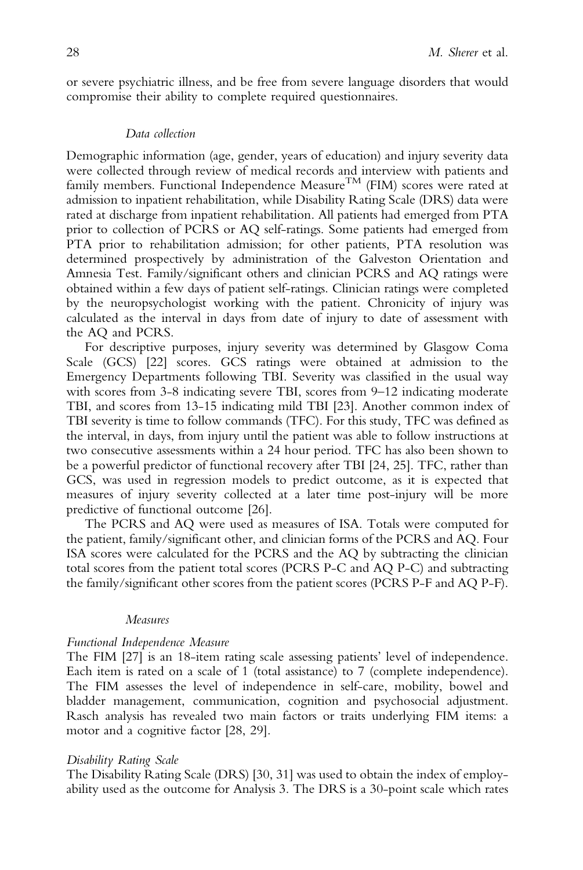or severe psychiatric illness,and be free from severe language disorders that would compromise their ability to complete required questionnaires.

#### Data collection

Demographic information (age, gender, years of education) and injury severity data were collected through review of medical records and interview with patients and family members. Functional Independence Measure<sup>TM</sup> (FIM) scores were rated at admission to inpatient rehabilitation,while Disability Rating Scale (DRS) data were rated at discharge from inpatient rehabilitation. All patients had emerged from PTA prior to collection of PCRS or AQ self-ratings. Some patients had emerged from PTA prior to rehabilitation admission; for other patients, PTA resolution was determined prospectively by administration of the Galveston Orientation and Amnesia Test. Family/significant others and clinician PCRS and AQ ratings were obtained within a few days of patient self-ratings. Clinician ratings were completed by the neuropsychologist working with the patient. Chronicity of injury was calculated as the interval in days from date of injury to date of assessment with the AQ and PCRS.

For descriptive purposes, injury severity was determined by Glasgow Coma Scale (GCS) [22] scores. GCS ratings were obtained at admission to the Emergency Departments following TBI. Severity was classified in the usual way with scores from  $3-8$  indicating severe TBI, scores from  $9-12$  indicating moderate TBI, and scores from 13-15 indicating mild TBI [23]. Another common index of TBI severity is time to follow commands (TFC). For this study,TFC was defined as the interval, in days, from injury until the patient was able to follow instructions at two consecutive assessments within a 24 hour period. TFC has also been shown to be a powerful predictor of functional recovery after TBI [24, 25]. TFC, rather than GCS, was used in regression models to predict outcome, as it is expected that measures of injury severity collected at a later time post-injury will be more predictive of functional outcome [26].

The PCRS and AQ were used as measures of ISA. Totals were computed for the patient, family/significant other, and clinician forms of the PCRS and AQ. Four ISA scores were calculated for the PCRS and the AQ by subtracting the clinician total scores from the patient total scores (PCRS P-C and AQ P-C) and subtracting the family/significant other scores from the patient scores (PCRS P-F and AQ P-F).

#### Measures

# Functional Independence Measure

The FIM [27] is an 18-item rating scale assessing patients' level of independence. Each item is rated on a scale of 1 (total assistance) to 7 (complete independence). The FIM assesses the level of independence in self-care, mobility, bowel and bladder management, communication, cognition and psychosocial adjustment. Rasch analysis has revealed two main factors or traits underlying FIM items: a motor and a cognitive factor [28,29].

#### Disability Rating Scale

The Disability Rating Scale (DRS) [30,31] was used to obtain the index of employability used as the outcome for Analysis 3. The DRS is a 30-point scale which rates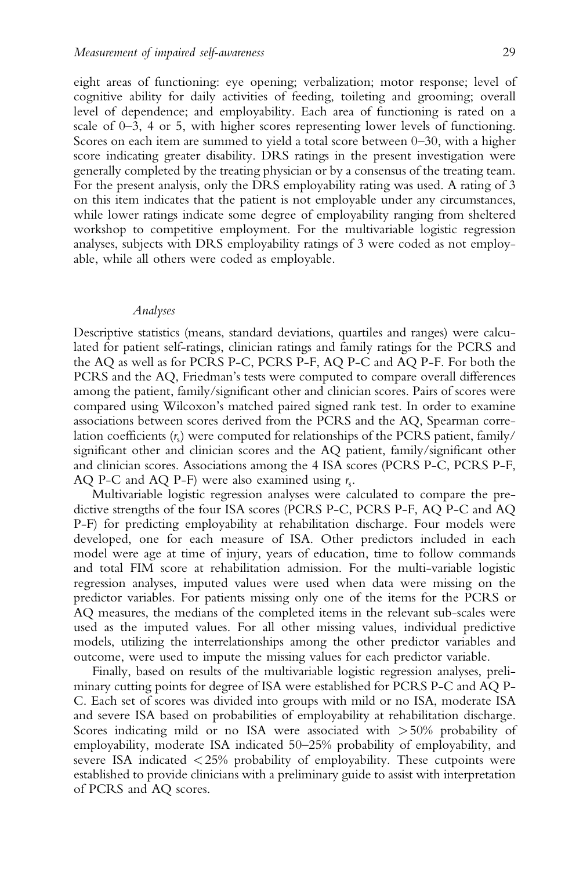eight areas of functioning: eye opening; verbalization; motor response; level of cognitive ability for daily activities of feeding, toileting and grooming; overall level of dependence; and employability. Each area of functioning is rated on a scale of  $0-3$ , 4 or 5, with higher scores representing lower levels of functioning. Scores on each item are summed to yield a total score between  $0-30$ , with a higher score indicating greater disability. DRS ratings in the present investigation were generally completed by the treating physician or by a consensus of the treating team. For the present analysis, only the DRS employability rating was used. A rating of 3 on this item indicates that the patient is not employable under any circumstances, while lower ratings indicate some degree of employability ranging from sheltered workshop to competitive employment. For the multivariable logistic regression analyses, subjects with DRS employability ratings of 3 were coded as not employable, while all others were coded as employable.

#### Analyses

Descriptive statistics (means, standard deviations, quartiles and ranges) were calculated for patient self-ratings, clinician ratings and family ratings for the PCRS and the AQ as well as for PCRS P-C, PCRS P-F, AQ P-C and AQ P-F. For both the PCRS and the AQ, Friedman's tests were computed to compare overall differences among the patient, family/significant other and clinician scores. Pairs of scores were compared using Wilcoxon's matched paired signed rank test. In order to examine associations between scores derived from the PCRS and the AQ, Spearman correlation coefficients  $(r<sub>s</sub>)$  were computed for relationships of the PCRS patient, family/ significant other and clinician scores and the  $AQ$  patient, family/significant other and clinician scores. Associations among the 4 ISA scores (PCRS P-C, PCRS P-F, AQ P-C and AQ P-F) were also examined using  $r_s$ .

Multivariable logistic regression analyses were calculated to compare the predictive strengths of the four ISA scores (PCRS P-C, PCRS P-F, AQ P-C and AQ P-F) for predicting employability at rehabilitation discharge. Four models were developed, one for each measure of ISA. Other predictors included in each model were age at time of injury, years of education, time to follow commands and total FIM score at rehabilitation admission. For the multi-variable logistic regression analyses, imputed values were used when data were missing on the predictor variables. For patients missing only one of the items for the PCRS or AQ measures, the medians of the completed items in the relevant sub-scales were used as the imputed values. For all other missing values, individual predictive models, utilizing the interrelationships among the other predictor variables and outcome, were used to impute the missing values for each predictor variable.

Finally, based on results of the multivariable logistic regression analyses, preliminary cutting points for degree of ISA were established for PCRS P-C and AQ P-C. Each set of scores was divided into groups with mild or no ISA, moderate ISA and severe ISA based on probabilities of employability at rehabilitation discharge. Scores indicating mild or no ISA were associated with >50% probability of employability, moderate ISA indicated 50–25% probability of employability, and severe ISA indicated <25% probability of employability. These cutpoints were established to provide clinicians with a preliminary guide to assist with interpretation of PCRS and AQ scores.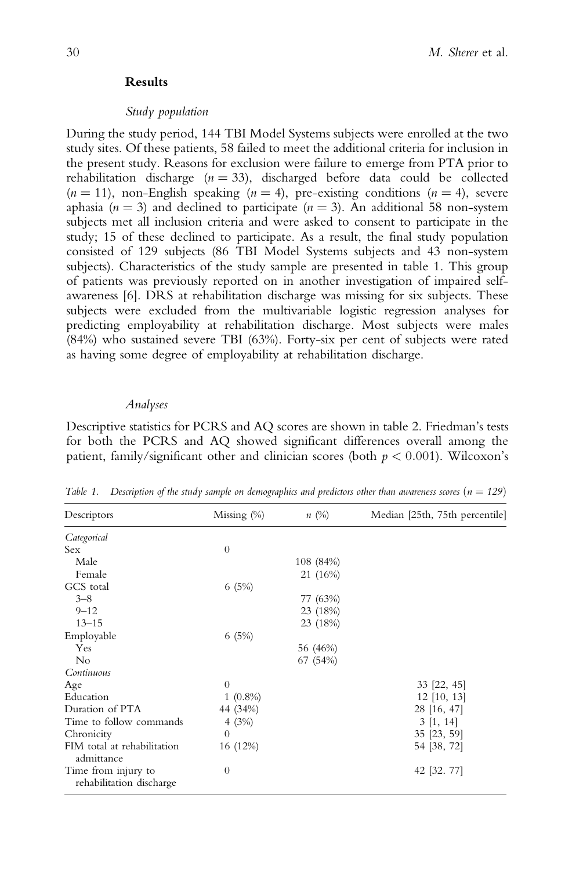#### Results

#### Study population

During the study period,144 TBI Model Systems subjects were enrolled at the two study sites. Of these patients,58 failed to meet the additional criteria for inclusion in the present study. Reasons for exclusion were failure to emerge from PTA prior to rehabilitation discharge ( $n = 33$ ), discharged before data could be collected  $(n = 11)$ , non-English speaking  $(n = 4)$ , pre-existing conditions  $(n = 4)$ , severe aphasia ( $n = 3$ ) and declined to participate ( $n = 3$ ). An additional 58 non-system subjects met all inclusion criteria and were asked to consent to participate in the study; 15 of these declined to participate. As a result, the final study population consisted of 129 subjects (86 TBI Model Systems subjects and 43 non-system subjects). Characteristics of the study sample are presented in table 1. This group of patients was previously reported on in another investigation of impaired selfawareness [6]. DRS at rehabilitation discharge was missing for six subjects. These subjects were excluded from the multivariable logistic regression analyses for predicting employability at rehabilitation discharge. Most subjects were males (84%) who sustained severe TBI (63%). Forty-six per cent of subjects were rated as having some degree of employability at rehabilitation discharge.

# Analyses

Descriptive statistics for PCRS and AQ scores are shown in table 2. Friedman's tests for both the PCRS and AQ showed significant differences overall among the patient, family/significant other and clinician scores (both  $p < 0.001$ ). Wilcoxon's

| Descriptors                                     | Missing $(\%)$ | $n \ (\%)$ | Median [25th, 75th percentile] |
|-------------------------------------------------|----------------|------------|--------------------------------|
| Categorical                                     |                |            |                                |
| <b>Sex</b>                                      | $\theta$       |            |                                |
| Male                                            |                | 108 (84%)  |                                |
| Female                                          |                | 21 (16%)   |                                |
| GCS total                                       | 6(5%)          |            |                                |
| $3 - 8$                                         |                | 77 (63%)   |                                |
| $9 - 12$                                        |                | 23 (18%)   |                                |
| $13 - 15$                                       |                | 23 (18%)   |                                |
| Employable                                      | 6(5%)          |            |                                |
| Yes                                             |                | 56 (46%)   |                                |
| $\rm No$                                        |                | 67 (54%)   |                                |
| Continuous                                      |                |            |                                |
| Age                                             | $\Omega$       |            | $33$ [22, 45]                  |
| Education                                       | $1(0.8\%)$     |            | $12$ [10, 13]                  |
| Duration of PTA                                 | 44 (34%)       |            | 28 [16, 47]                    |
| Time to follow commands                         | 4(3%)          |            | 3 [1, 14]                      |
| Chronicity                                      | $\Omega$       |            | $35$ [23, 59]                  |
| FIM total at rehabilitation<br>admittance       | 16 (12%)       |            | 54 [38, 72]                    |
| Time from injury to<br>rehabilitation discharge | $\theta$       |            | 42 [32, 77]                    |

Table 1. Description of the study sample on demographics and predictors other than awareness scores  $(n = 129)$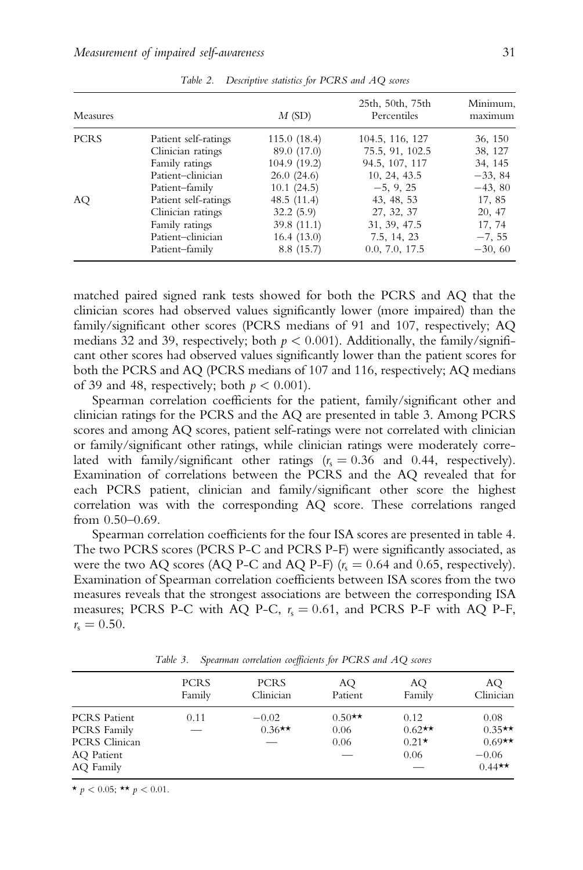| Measures    |                                           | M(SD)                      | 25th, 50th, 75th<br>Percentiles    | Minimum,<br>maximum |
|-------------|-------------------------------------------|----------------------------|------------------------------------|---------------------|
| <b>PCRS</b> | Patient self-ratings<br>Clinician ratings | 115.0(18.4)<br>89.0 (17.0) | 104.5, 116, 127<br>75.5, 91, 102.5 | 36, 150<br>38, 127  |
|             | Family ratings                            | 104.9 (19.2)               | 94.5, 107, 117                     | 34, 145             |
|             | Patient-clinician                         | 26.0(24.6)                 | 10, 24, 43.5                       | $-33,84$            |
|             | Patient-family                            | 10.1(24.5)                 | $-5, 9, 25$                        | $-43, 80$           |
| AQ          | Patient self-ratings                      | 48.5(11.4)                 | 43, 48, 53                         | 17, 85              |
|             | Clinician ratings                         | 32.2(5.9)                  | 27, 32, 37                         | 20, 47              |
|             | Family ratings                            | 39.8 (11.1)                | 31, 39, 47.5                       | 17, 74              |
|             | Patient-clinician                         | 16.4(13.0)                 | 7.5, 14, 23                        | $-7, 55$            |
|             | Patient-family                            | 8.8(15.7)                  | 0.0, 7.0, 17.5                     | $-30, 60$           |

Table 2. Descriptive statistics for PCRS and AQ scores

matched paired signed rank tests showed for both the PCRS and AQ that the clinician scores had observed values significantly lower (more impaired) than the family/significant other scores (PCRS medians of 91 and 107, respectively; AQ medians 32 and 39, respectively; both  $p < 0.001$ ). Additionally, the family/significant other scores had observed values significantly lower than the patient scores for both the PCRS and AQ (PCRS medians of 107 and 116, respectively; AQ medians of 39 and 48, respectively; both  $p < 0.001$ ).

Spearman correlation coefficients for the patient, family/significant other and clinician ratings for the PCRS and the AQ are presented in table 3. Among PCRS scores and among AQ scores, patient self-ratings were not correlated with clinician or family/significant other ratings,while clinician ratings were moderately correlated with family/significant other ratings  $(r_s = 0.36$  and 0.44, respectively). Examination of correlations between the PCRS and the AQ revealed that for each PCRS patient, clinician and family/significant other score the highest correlation was with the corresponding AQ score. These correlations ranged from 0.50–0.69.

Spearman correlation coefficients for the four ISA scores are presented in table 4. The two PCRS scores (PCRS P-C and PCRS P-F) were significantly associated, as were the two AQ scores (AQ P-C and AQ P-F)  $(r_s = 0.64$  and 0.65, respectively). Examination of Spearman correlation coefficients between ISA scores from the two measures reveals that the strongest associations are between the corresponding ISA measures; PCRS P-C with AQ P-C,  $r_s = 0.61$ , and PCRS P-F with AQ P-F,  $r_{\rm s} = 0.50$ .

|                     | <b>PCRS</b><br>Family | <b>PCRS</b><br>Clinician | AO<br>Patient | AО<br>Family | AO<br>Clinician |
|---------------------|-----------------------|--------------------------|---------------|--------------|-----------------|
| <b>PCRS</b> Patient | 0.11                  | $-0.02$                  | $0.50**$      | 0.12         | 0.08            |
| <b>PCRS</b> Family  |                       | $0.36**$                 | 0.06          | $0.62**$     | $0.35**$        |
| PCRS Clinican       |                       |                          | 0.06          | $0.21*$      | $0.69**$        |
| AQ Patient          |                       |                          |               | 0.06         | $-0.06$         |
| AQ Family           |                       |                          |               |              | $0.44**$        |

Table 3. Spearman correlation coefficients for PCRS and AQ scores

\*  $p < 0.05$ ; \*\*  $p < 0.01$ .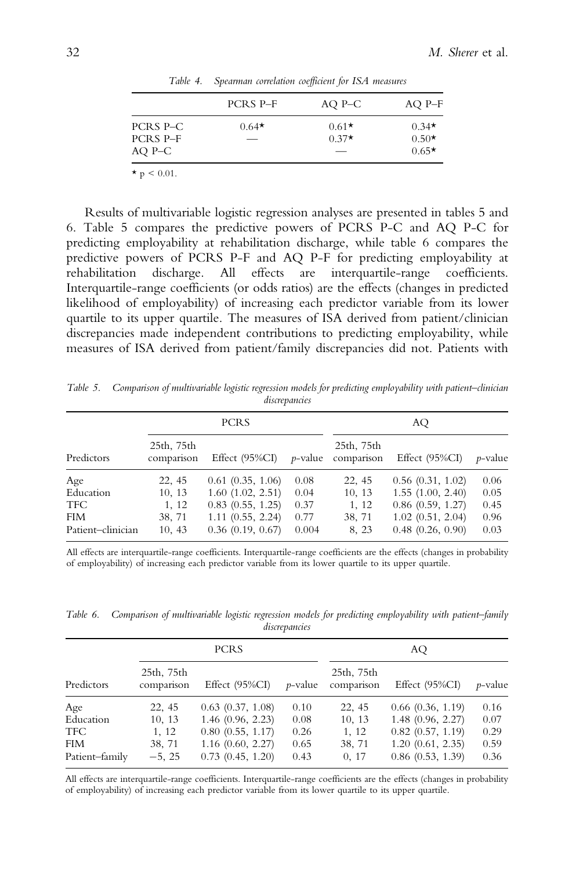|                                | PCRS P-F      | AQ P-C                                                | AQ P-F                        |
|--------------------------------|---------------|-------------------------------------------------------|-------------------------------|
| PCRS P-C<br>PCRS P-F<br>AQ P-C | $0.64*$<br>__ | $0.61*$<br>$0.37*$<br>$\hspace{0.1mm}-\hspace{0.1mm}$ | $0.34*$<br>$0.50*$<br>$0.65*$ |

Table 4. Spearman correlation coefficient for ISA measures

 $\star$  p < 0.01.

Results of multivariable logistic regression analyses are presented in tables 5 and 6. Table 5 compares the predictive powers of PCRS P-C and AQ P-C for predicting employability at rehabilitation discharge, while table 6 compares the predictive powers of PCRS P-F and AQ P-F for predicting employability at rehabilitation discharge. All effects are interquartile-range coefficients. Interquartile-range coefficients (or odds ratios) are the effects (changes in predicted likelihood of employability) of increasing each predictor variable from its lower quartile to its upper quartile. The measures of ISA derived from patient/clinician discrepancies made independent contributions to predicting employability, while measures of ISA derived from patient/family discrepancies did not. Patients with

Table 5. Comparison of multivariable logistic regression models for predicting employability with patient–clinician discrepancies

| Predictors        | <b>PCRS</b>              |                       |                 | AO.                      |                       |                 |
|-------------------|--------------------------|-----------------------|-----------------|--------------------------|-----------------------|-----------------|
|                   | 25th, 75th<br>comparison | Effect $(95\%CI)$     | <i>p</i> -value | 25th, 75th<br>comparison | Effect $(95\%CI)$     | <i>p</i> -value |
| Age               | 22, 45                   | $0.61$ $(0.35, 1.06)$ | 0.08            | 22, 45                   | $0.56$ $(0.31, 1.02)$ | 0.06            |
| Education         | 10, 13                   | 1.60(1.02, 2.51)      | 0.04            | 10, 13                   | 1.55(1.00, 2.40)      | 0.05            |
| <b>TFC</b>        | 1, 12                    | $0.83$ $(0.55, 1.25)$ | 0.37            | 1, 12                    | $0.86$ $(0.59, 1.27)$ | 0.45            |
| <b>FIM</b>        | 38, 71                   | $1.11$ $(0.55, 2.24)$ | 0.77            | 38, 71                   | $1.02$ $(0.51, 2.04)$ | 0.96            |
| Patient-clinician | 10, 43                   | $0.36$ $(0.19, 0.67)$ | 0.004           | 8, 23                    | 0.48(0.26, 0.90)      | 0.03            |

All effects are interquartile-range coefficients. Interquartile-range coefficients are the effects (changes in probability of employability) of increasing each predictor variable from its lower quartile to its upper quartile.

Table 6. Comparison of multivariable logistic regression models for predicting employability with patient–family discrepancies

|                | <b>PCRS</b>              |                       |            | AO.                      |                       |                 |
|----------------|--------------------------|-----------------------|------------|--------------------------|-----------------------|-----------------|
| Predictors     | 25th, 75th<br>comparison | Effect $(95\%CI)$     | $p$ -value | 25th, 75th<br>comparison | Effect $(95\%CI)$     | <i>p</i> -value |
| Age            | 22, 45                   | $0.63$ $(0.37, 1.08)$ | 0.10       | 22, 45                   | $0.66$ $(0.36, 1.19)$ | 0.16            |
| Education      | 10, 13                   | 1.46(0.96, 2.23)      | 0.08       | 10, 13                   | 1.48(0.96, 2.27)      | 0.07            |
| TFC.           | 1, 12                    | 0.80(0.55, 1.17)      | 0.26       | 1, 12                    | $0.82$ $(0.57, 1.19)$ | 0.29            |
| <b>FIM</b>     | 38, 71                   | $1.16$ (0.60, 2.27)   | 0.65       | 38, 71                   | 1.20(0.61, 2.35)      | 0.59            |
| Patient-family | $-5, 25$                 | 0.73(0.45, 1.20)      | 0.43       | 0, 17                    | $0.86$ $(0.53, 1.39)$ | 0.36            |

All effects are interquartile-range coefficients. Interquartile-range coefficients are the effects (changes in probability of employability) of increasing each predictor variable from its lower quartile to its upper quartile.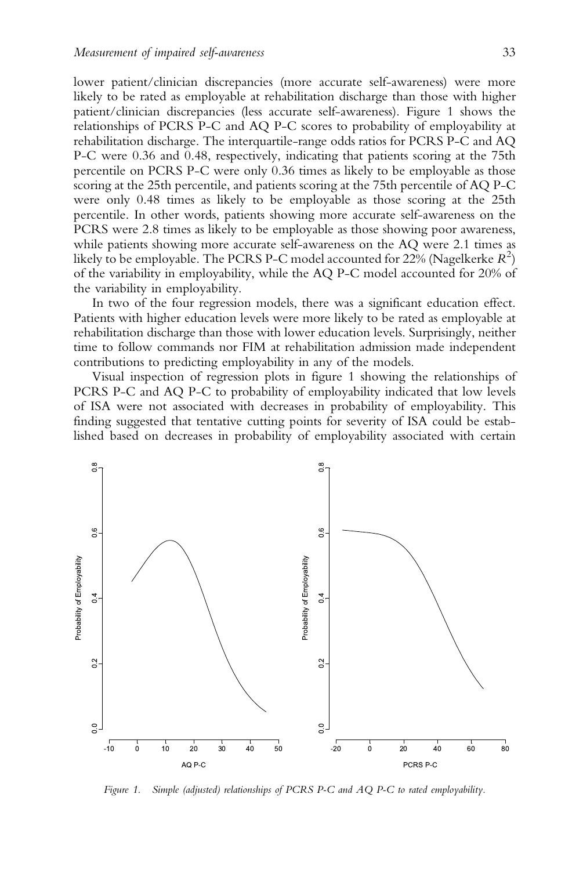lower patient/clinician discrepancies (more accurate self-awareness) were more likely to be rated as employable at rehabilitation discharge than those with higher patient/clinician discrepancies (less accurate self-awareness). Figure 1 shows the relationships of PCRS P-C and AQ P-C scores to probability of employability at rehabilitation discharge. The interquartile-range odds ratios for PCRS P-C and AQ P-C were 0.36 and 0.48, respectively, indicating that patients scoring at the 75th percentile on PCRS P-C were only 0.36 times as likely to be employable as those scoring at the 25th percentile, and patients scoring at the 75th percentile of AQ P-C were only 0.48 times as likely to be employable as those scoring at the 25th percentile. In other words, patients showing more accurate self-awareness on the PCRS were 2.8 times as likely to be employable as those showing poor awareness, while patients showing more accurate self-awareness on the AQ were 2.1 times as likely to be employable. The PCRS P-C model accounted for 22% (Nagelkerke  $R^2$ ) of the variability in employability, while the  $AQ$  P-C model accounted for 20% of the variability in employability.

In two of the four regression models, there was a significant education effect. Patients with higher education levels were more likely to be rated as employable at rehabilitation discharge than those with lower education levels. Surprisingly, neither time to follow commands nor FIM at rehabilitation admission made independent contributions to predicting employability in any of the models.

Visual inspection of regression plots in figure 1 showing the relationships of PCRS P-C and AQ P-C to probability of employability indicated that low levels of ISA were not associated with decreases in probability of employability. This finding suggested that tentative cutting points for severity of ISA could be established based on decreases in probability of employability associated with certain



Figure 1. Simple (adjusted) relationships of PCRS P-C and AQ P-C to rated employability.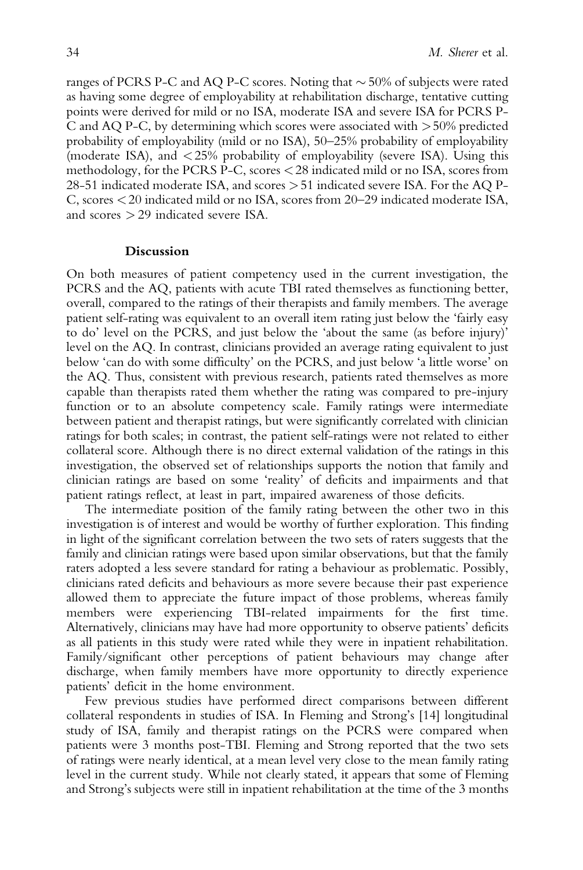ranges of PCRS P-C and AQ P-C scores. Noting that  $\sim$  50% of subjects were rated as having some degree of employability at rehabilitation discharge, tentative cutting points were derived for mild or no ISA, moderate ISA and severe ISA for PCRS P-C and AO P-C, by determining which scores were associated with  $>50\%$  predicted probability of employability (mild or no ISA), 50–25% probability of employability (moderate ISA), and  $\langle 25\%$  probability of employability (severe ISA). Using this methodology, for the PCRS P-C, scores  $<$  28 indicated mild or no ISA, scores from 28-51 indicated moderate ISA, and scores  $>$  51 indicated severe ISA. For the AQ P-C, scores  $\leq$  20 indicated mild or no ISA, scores from 20–29 indicated moderate ISA, and scores > 29 indicated severe ISA.

# Discussion

On both measures of patient competency used in the current investigation, the PCRS and the AQ, patients with acute TBI rated themselves as functioning better, overall, compared to the ratings of their therapists and family members. The average patient self-rating was equivalent to an overall item rating just below the 'fairly easy to do' level on the PCRS, and just below the 'about the same (as before injury)' level on the  $AQ$ . In contrast, clinicians provided an average rating equivalent to just below 'can do with some difficulty' on the PCRS,and just below 'a little worse' on the AQ. Thus, consistent with previous research, patients rated themselves as more capable than therapists rated them whether the rating was compared to pre-injury function or to an absolute competency scale. Family ratings were intermediate between patient and therapist ratings, but were significantly correlated with clinician ratings for both scales; in contrast, the patient self-ratings were not related to either collateral score. Although there is no direct external validation of the ratings in this investigation, the observed set of relationships supports the notion that family and clinician ratings are based on some 'reality' of deficits and impairments and that patient ratings reflect, at least in part, impaired awareness of those deficits.

The intermediate position of the family rating between the other two in this investigation is of interest and would be worthy of further exploration. This finding in light of the significant correlation between the two sets of raters suggests that the family and clinician ratings were based upon similar observations, but that the family raters adopted a less severe standard for rating a behaviour as problematic. Possibly, clinicians rated deficits and behaviours as more severe because their past experience allowed them to appreciate the future impact of those problems, whereas family members were experiencing TBI-related impairments for the first time. Alternatively, clinicians may have had more opportunity to observe patients' deficits as all patients in this study were rated while they were in inpatient rehabilitation. Family/significant other perceptions of patient behaviours may change after discharge, when family members have more opportunity to directly experience patients' deficit in the home environment.

Few previous studies have performed direct comparisons between different collateral respondents in studies of ISA. In Fleming and Strong's [14] longitudinal study of ISA, family and therapist ratings on the PCRS were compared when patients were 3 months post-TBI. Fleming and Strong reported that the two sets of ratings were nearly identical,at a mean level very close to the mean family rating level in the current study. While not clearly stated, it appears that some of Fleming and Strong's subjects were still in inpatient rehabilitation at the time of the 3 months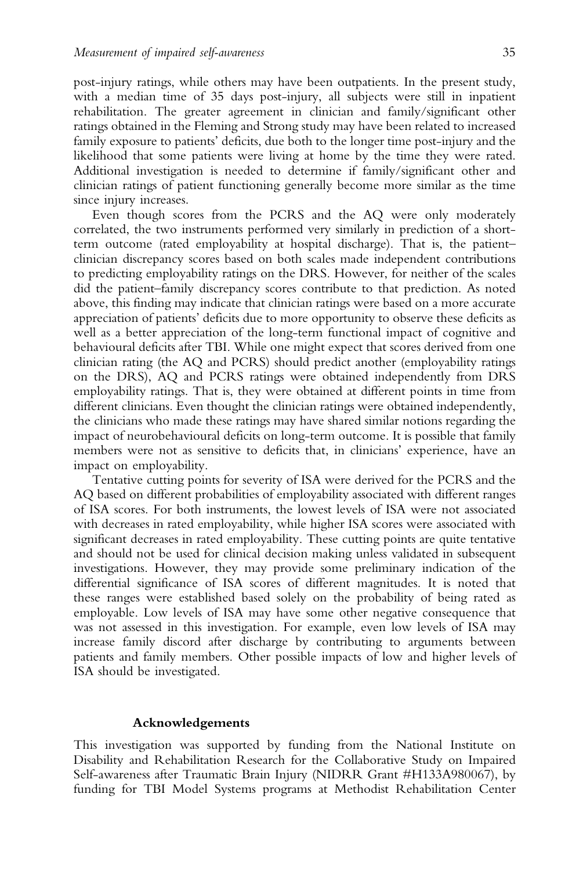post-injury ratings, while others may have been outpatients. In the present study, with a median time of  $35$  days post-injury, all subjects were still in inpatient rehabilitation. The greater agreement in clinician and family/significant other ratings obtained in the Fleming and Strong study may have been related to increased family exposure to patients' deficits, due both to the longer time post-injury and the likelihood that some patients were living at home by the time they were rated. Additional investigation is needed to determine if family/significant other and clinician ratings of patient functioning generally become more similar as the time since injury increases.

Even though scores from the PCRS and the AQ were only moderately correlated, the two instruments performed very similarly in prediction of a shortterm outcome (rated employability at hospital discharge). That is, the patient– clinician discrepancy scores based on both scales made independent contributions to predicting employability ratings on the DRS. However, for neither of the scales did the patient–family discrepancy scores contribute to that prediction. As noted above, this finding may indicate that clinician ratings were based on a more accurate appreciation of patients' deficits due to more opportunity to observe these deficits as well as a better appreciation of the long-term functional impact of cognitive and behavioural deficits after TBI. While one might expect that scores derived from one clinician rating (the AQ and PCRS) should predict another (employability ratings on the DRS),AQ and PCRS ratings were obtained independently from DRS employability ratings. That is, they were obtained at different points in time from different clinicians. Even thought the clinician ratings were obtained independently, the clinicians who made these ratings may have shared similar notions regarding the impact of neurobehavioural deficits on long-term outcome. It is possible that family members were not as sensitive to deficits that, in clinicians' experience, have an impact on employability.

Tentative cutting points for severity of ISA were derived for the PCRS and the AQ based on different probabilities of employability associated with different ranges of ISA scores. For both instruments, the lowest levels of ISA were not associated with decreases in rated employability, while higher ISA scores were associated with significant decreases in rated employability. These cutting points are quite tentative and should not be used for clinical decision making unless validated in subsequent investigations. However, they may provide some preliminary indication of the differential significance of ISA scores of different magnitudes. It is noted that these ranges were established based solely on the probability of being rated as employable. Low levels of ISA may have some other negative consequence that was not assessed in this investigation. For example, even low levels of ISA may increase family discord after discharge by contributing to arguments between patients and family members. Other possible impacts of low and higher levels of ISA should be investigated.

# Acknowledgements

This investigation was supported by funding from the National Institute on Disability and Rehabilitation Research for the Collaborative Study on Impaired Self-awareness after Traumatic Brain Injury (NIDRR Grant #H133A980067), by funding for TBI Model Systems programs at Methodist Rehabilitation Center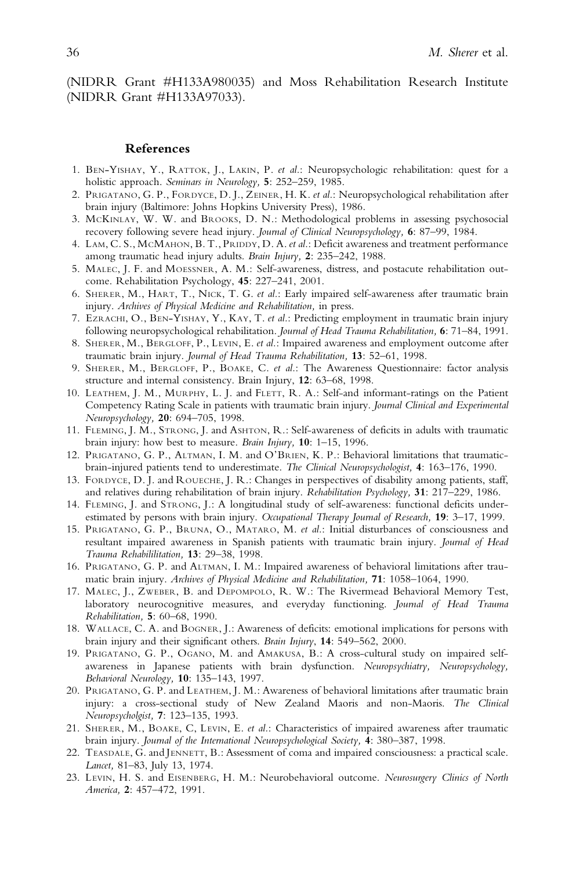(NIDRR Grant #H133A980035) and Moss Rehabilitation Research Institute (NIDRR Grant #H133A97033).

#### References

- 1. BEN-YISHAY, Y., RATTOK, J., LAKIN, P. et al.: Neuropsychologic rehabilitation: quest for a holistic approach. Seminars in Neurology, 5: 252–259,1985.
- 2. PRIGATANO, G. P., FORDYCE, D. J., ZEINER, H. K. et al.: Neuropsychological rehabilitation after brain injury (Baltimore: Johns Hopkins University Press),1986.
- 3. MCKINLAY, W. W. and BROOKS, D. N.: Methodological problems in assessing psychosocial recovery following severe head injury. Journal of Clinical Neuropsychology, 6: 87–99, 1984.
- 4. LAM, C. S., MCMAHON, B. T., PRIDDY, D. A. et al.: Deficit awareness and treatment performance among traumatic head injury adults. Brain Injury, 2: 235–242,1988.
- 5. MALEC, J. F. and MOESSNER, A. M.: Self-awareness, distress, and postacute rehabilitation outcome. Rehabilitation Psychology, 45: 227-241, 2001.
- 6. SHERER, M., HART, T., NICK, T. G. et al.: Early impaired self-awareness after traumatic brain injury. Archives of Physical Medicine and Rehabilitation, in press.
- 7. EZRACHI, O., BEN-YISHAY, Y., KAY, T. et al.: Predicting employment in traumatic brain injury following neuropsychological rehabilitation. Journal of Head Trauma Rehabilitation, 6: 71-84, 1991.
- 8. SHERER, M., BERGLOFF, P., LEVIN, E. et al.: Impaired awareness and employment outcome after traumatic brain injury. Journal of Head Trauma Rehabilitation, 13: 52-61, 1998.
- 9. SHERER, M., BERGLOFF, P., BOAKE, C. et al.: The Awareness Questionnaire: factor analysis structure and internal consistency. Brain Injury, 12: 63-68, 1998.
- 10. LEATHEM, J. M., MURPHY, L. J. and FLETT, R. A.: Self-and informant-ratings on the Patient Competency Rating Scale in patients with traumatic brain injury. Journal Clinical and Experimental Neuropsychology, 20: 694-705, 1998.
- 11. FLEMING, J. M., STRONG, J. and ASHTON, R.: Self-awareness of deficits in adults with traumatic brain injury: how best to measure. Brain Injury, 10: 1-15, 1996.
- 12. PRIGATANO, G. P., ALTMAN, I. M. and O'BRIEN, K. P.: Behavioral limitations that traumaticbrain-injured patients tend to underestimate. The Clinical Neuropsychologist, 4: 163-176, 1990.
- 13. FORDYCE, D. J. and ROUECHE, J. R.: Changes in perspectives of disability among patients, staff, and relatives during rehabilitation of brain injury. Rehabilitation Psychology, 31: 217–229, 1986.
- 14. FLEMING, J. and STRONG, J.: A longitudinal study of self-awareness: functional deficits underestimated by persons with brain injury. Occupational Therapy Journal of Research, 19: 3–17, 1999.
- 15. PRIGATANO, G. P., BRUNA, O., MATARO, M. et al.: Initial disturbances of consciousness and resultant impaired awareness in Spanish patients with traumatic brain injury. Journal of Head Trauma Rehabililitation, 13: 29–38,1998.
- 16. PRIGATANO, G. P. and ALTMAN, I. M.: Impaired awareness of behavioral limitations after traumatic brain injury. Archives of Physical Medicine and Rehabilitation, 71: 1058–1064,1990.
- 17. MALEC, J., ZWEBER, B. and DEPOMPOLO, R. W.: The Rivermead Behavioral Memory Test, laboratory neurocognitive measures, and everyday functioning. Journal of Head Trauma Rehabilitation, 5: 60–68,1990.
- 18. WALLACE, C. A. and BOGNER, J.: Awareness of deficits: emotional implications for persons with brain injury and their significant others. Brain Injury, 14: 549–562, 2000.
- 19. PRIGATANO, G. P., OGANO, M. and AMAKUSA, B.: A cross-cultural study on impaired selfawareness in Japanese patients with brain dysfunction. Neuropsychiatry, Neuropsychology, Behavioral Neurology, 10: 135-143, 1997.
- 20. PRIGATANO, G. P. and LEATHEM, J. M.: Awareness of behavioral limitations after traumatic brain injury: a cross-sectional study of New Zealand Maoris and non-Maoris. The Clinical Neuropsycholgist, 7: 123–135,1993.
- 21. SHERER, M., BOAKE, C, LEVIN, E. et al.: Characteristics of impaired awareness after traumatic brain injury. Journal of the International Neuropsychological Society, 4: 380–387,1998.
- 22. TEASDALE, G. and JENNETT, B.: Assessment of coma and impaired consciousness: a practical scale. Lancet, 81-83, July 13, 1974.
- 23. LEVIN, H. S. and EISENBERG, H. M.: Neurobehavioral outcome. Neurosurgery Clinics of North America, 2: 457-472, 1991.